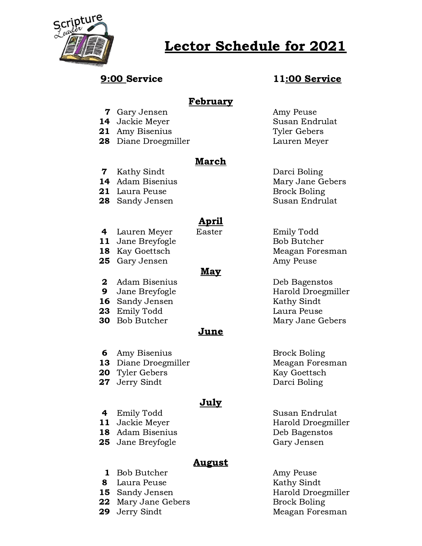

# Lector Schedule for 2021

# 9:00 Service 11:00 Service

## February

- **7** Gary Jensen **Amy Peuse**
- 
- 21 Amy Bisenius Tyler Gebers
- 28 Diane Droegmiller Lauren Meyer

### March

**7** Kathy Sindt Darci Boling

- 21 Laura Peuse Brock Boling
- 

# April

- 
- **25** Gary Jensen **Amy Peuse** Amy Peuse

#### May

- 2 Adam Bisenius Deb Bagenstos
- 
- **16** Sandy Jensen Kathy Sindt
- 23 Emily Todd Laura Peuse
- 

### June

- **6** Amy Bisenius Brock Boling
- 13 Diane Droegmiller Meagan Foresman
- **20** Tyler Gebers Kay Goettsch
- 27 Jerry Sindt Darci Boling

### July

- 
- 
- **25** Jane Breyfogle Gary Jensen
	-

### **August**

- 1 Bob Butcher Amy Peuse
- 8 Laura Peuse Kathy Sindt
- 
- **22** Mary Jane Gebers Brock Boling
- 
- 14 Jackie Meyer Susan Endrulat
- 14 Adam Bisenius Mary Jane Gebers 28 Sandy Jensen Susan Endrulat
- 4 Lauren Meyer Easter Emily Todd 11 Jane Breyfogle Bob Butcher **18** Kay Goettsch Meagan Foresman
- 9 Jane Breyfogle **Harold Droegmiller 30** Bob Butcher Mary Jane Gebers
	-
- 4 Emily Todd Susan Endrulat 11 Jackie Meyer **Harold Droegmiller** 18 Adam Bisenius **Deb Bagenstos**
- **15** Sandy Jensen **Harold Droegmiller 29** Jerry Sindt Meagan Foresman